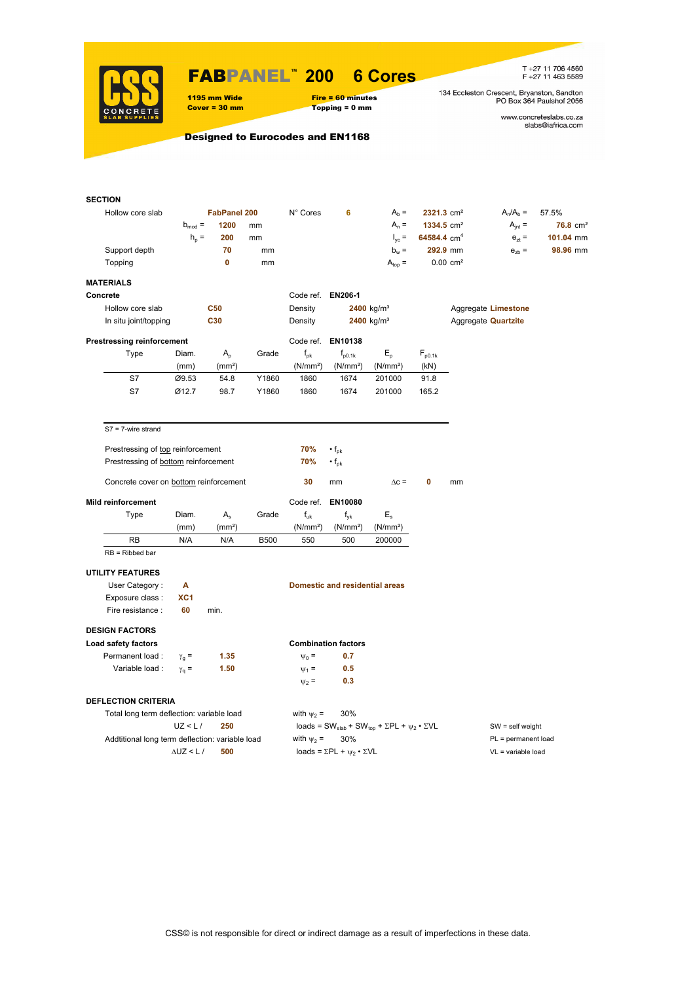

# FABPANEL**™ 200 6 Cores**

 $Topping = 0$  mm

T +27 11 706 4560<br>F +27 11 463 5589

134 Eccleston Crescent, Bryanston, Sandton<br>PO Box 364 Paulshof 2056

www.concreteslabs.co.za<br>slabs@iafrica.com

Designed to Eurocodes and EN1168

1195 mm Wide Fire = 60 minutes<br>
Cover = 30 mm Topping = 0 mm

| <b>SECTION</b>                            |                                                 |                      |                     |             |                      |                                                |                                                                                         |                         |                       |                            |                      |
|-------------------------------------------|-------------------------------------------------|----------------------|---------------------|-------------|----------------------|------------------------------------------------|-----------------------------------------------------------------------------------------|-------------------------|-----------------------|----------------------------|----------------------|
| Hollow core slab                          |                                                 |                      | <b>FabPanel 200</b> |             | N° Cores             | 6                                              | $Ab =$                                                                                  | 2321.3 cm <sup>2</sup>  |                       | $A_n/A_b =$                | 57.5%                |
|                                           |                                                 | $b_{mod} =$          | 1200                | mm          |                      |                                                | $A_n =$                                                                                 | 1334.5 cm <sup>2</sup>  |                       | $A_{int} =$                | 76.8 cm <sup>2</sup> |
|                                           |                                                 | $h_{\rm p}$ =        | 200                 | mm          |                      |                                                | $I_{\text{vc}} =$                                                                       | 64584.4 cm <sup>4</sup> |                       | $e_{zt}$ =                 | 101.04 mm            |
|                                           | Support depth                                   |                      | 70                  | mm          |                      |                                                | $b_w =$                                                                                 |                         | 292.9 mm              | $e_{zb}$ =                 | 98.96 mm             |
| Topping                                   |                                                 |                      | $\mathbf{0}$        | mm          |                      |                                                | $A_{top} =$                                                                             |                         | $0.00 \, \text{cm}^2$ |                            |                      |
| <b>MATERIALS</b>                          |                                                 |                      |                     |             |                      |                                                |                                                                                         |                         |                       |                            |                      |
| Concrete                                  |                                                 |                      |                     |             | Code ref. EN206-1    |                                                |                                                                                         |                         |                       |                            |                      |
|                                           | Hollow core slab                                |                      | <b>C50</b>          |             | Density              |                                                | 2400 $kg/m3$                                                                            |                         |                       | Aggregate Limestone        |                      |
|                                           | In situ joint/topping                           |                      | C30                 |             | Density              |                                                | 2400 kg/m <sup>3</sup>                                                                  |                         |                       | Aggregate <b>Quartzite</b> |                      |
|                                           | <b>Prestressing reinforcement</b>               |                      |                     |             |                      | Code ref. EN10138                              |                                                                                         |                         |                       |                            |                      |
|                                           | Type                                            | Diam.                | $A_{p}$             | Grade       | $f_{\rm pk}$         | $f_{p0.1k}$                                    | $E_{\rm p}$                                                                             | $F_{p0.1k}$             |                       |                            |                      |
|                                           |                                                 | (mm)                 | (mm <sup>2</sup> )  |             | (N/mm <sup>2</sup> ) | (N/mm <sup>2</sup> )                           | (N/mm <sup>2</sup> )                                                                    | (kN)                    |                       |                            |                      |
|                                           | S7                                              | Ø9.53                | 54.8                | Y1860       | 1860                 | 1674                                           | 201000                                                                                  | 91.8                    |                       |                            |                      |
|                                           | S7                                              | Ø12.7                | 98.7                | Y1860       | 1860                 | 1674                                           | 201000                                                                                  | 165.2                   |                       |                            |                      |
|                                           |                                                 |                      |                     |             |                      |                                                |                                                                                         |                         |                       |                            |                      |
|                                           | $S7 = 7$ -wire strand                           |                      |                     |             |                      |                                                |                                                                                         |                         |                       |                            |                      |
|                                           | Prestressing of top reinforcement               |                      |                     |             | 70%                  | $\cdot f_{\rm pk}$                             |                                                                                         |                         |                       |                            |                      |
|                                           | Prestressing of bottom reinforcement            |                      |                     |             | 70%                  | $\cdot$ f <sub>pk</sub>                        |                                                                                         |                         |                       |                            |                      |
|                                           |                                                 |                      |                     |             |                      |                                                |                                                                                         |                         |                       |                            |                      |
|                                           | Concrete cover on bottom reinforcement          |                      |                     |             | 30                   | mm                                             | $\Delta c =$                                                                            | 0                       | mm                    |                            |                      |
| <b>Mild reinforcement</b>                 |                                                 |                      |                     |             | Code ref.            | EN10080                                        |                                                                                         |                         |                       |                            |                      |
|                                           | Type                                            | Diam.                | $A_{s}$             | Grade       | $f_{uk}$             | $f_{\nu k}$                                    | $E_{s}$                                                                                 |                         |                       |                            |                      |
|                                           |                                                 | (mm)                 | (mm <sup>2</sup> )  |             | (N/mm <sup>2</sup> ) | (N/mm <sup>2</sup> )                           | (N/mm <sup>2</sup> )                                                                    |                         |                       |                            |                      |
|                                           | RB                                              | N/A                  | N/A                 | <b>B500</b> | 550                  | 500                                            | 200000                                                                                  |                         |                       |                            |                      |
|                                           | $RB = Ribbed bar$                               |                      |                     |             |                      |                                                |                                                                                         |                         |                       |                            |                      |
| <b>UTILITY FEATURES</b>                   |                                                 |                      |                     |             |                      |                                                |                                                                                         |                         |                       |                            |                      |
|                                           | User Category:                                  | Α                    |                     |             |                      | <b>Domestic and residential areas</b>          |                                                                                         |                         |                       |                            |                      |
|                                           | Exposure class :                                | XC1                  |                     |             |                      |                                                |                                                                                         |                         |                       |                            |                      |
|                                           | Fire resistance :                               | 60                   | min.                |             |                      |                                                |                                                                                         |                         |                       |                            |                      |
|                                           |                                                 |                      |                     |             |                      |                                                |                                                                                         |                         |                       |                            |                      |
| <b>DESIGN FACTORS</b>                     |                                                 |                      |                     |             |                      |                                                |                                                                                         |                         |                       |                            |                      |
| Load safety factors                       |                                                 |                      |                     |             |                      | <b>Combination factors</b>                     |                                                                                         |                         |                       |                            |                      |
|                                           | Permanent load:                                 | $\gamma_{q} =$       | 1.35                |             | $\Psi_0 =$           | 0.7                                            |                                                                                         |                         |                       |                            |                      |
|                                           | Variable load :                                 | $\gamma_{\rm q} =$   | 1.50                |             | $\Psi_1 =$           | 0.5                                            |                                                                                         |                         |                       |                            |                      |
|                                           |                                                 |                      |                     |             | $\psi_2 =$           | 0.3                                            |                                                                                         |                         |                       |                            |                      |
|                                           | <b>DEFLECTION CRITERIA</b>                      |                      |                     |             |                      |                                                |                                                                                         |                         |                       |                            |                      |
| Total long term deflection: variable load |                                                 |                      |                     |             | with $\psi_2$ =      | 30%                                            |                                                                                         |                         |                       |                            |                      |
|                                           |                                                 | UZ < L/              | 250                 |             |                      |                                                | loads = SW <sub>slab</sub> + SW <sub>top</sub> + $\Sigma$ PL + $\psi_2 \cdot \Sigma$ VL |                         |                       | $SW = self weight$         |                      |
|                                           | Addtitional long term deflection: variable load |                      |                     |             | with $\psi_2$ =      | 30%                                            |                                                                                         |                         |                       | PL = permanent load        |                      |
|                                           |                                                 | $\triangle$ UZ < L / | 500                 |             |                      | loads = $\Sigma$ PL + $\psi_2 \cdot \Sigma$ VL |                                                                                         |                         |                       | $VL = variable load$       |                      |
|                                           |                                                 |                      |                     |             |                      |                                                |                                                                                         |                         |                       |                            |                      |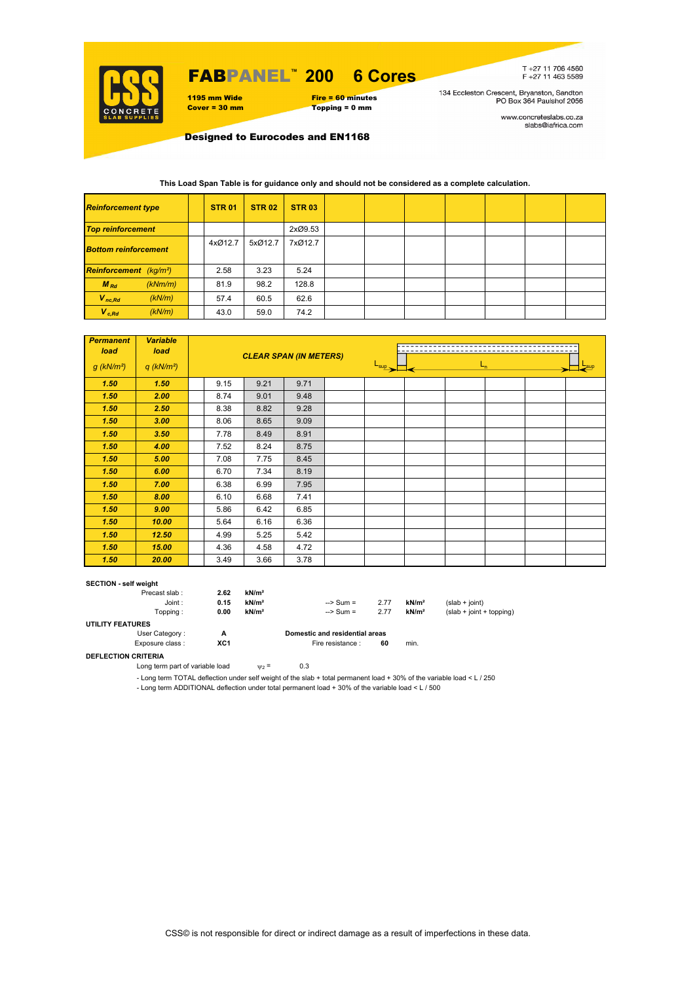

# FABPANEL**™ 200 6 Cores**

1195 mm Wide Fire = 60 minutes<br>
Cover = 30 mm Topping = 0 mm  $Topping = 0$  mm

T+27 11 706 4560<br>F+27 11 463 5589

134 Eccleston Crescent, Bryanston, Sandton<br>PO Box 364 Paulshof 2056

www.concreteslabs.co.za<br>slabs@iafrica.com

Designed to Eurocodes and EN1168

### **This Load Span Table is for guidance only and should not be considered as a complete calculation.**

| <b>Reinforcement type</b>                 |         | <b>STR 01</b> | <b>STR 02</b> | <b>STR 03</b> |  |  |  |  |
|-------------------------------------------|---------|---------------|---------------|---------------|--|--|--|--|
| <b>Top reinforcement</b>                  |         |               |               | 2xØ9.53       |  |  |  |  |
| <b>Bottom reinforcement</b>               |         | 4xØ12.7       | 5xØ12.7       | 7xØ12.7       |  |  |  |  |
| <b>Reinforcement</b> (kg/m <sup>2</sup> ) |         | 2.58          | 3.23          | 5.24          |  |  |  |  |
| $M_{Rd}$                                  | (kNm/m) | 81.9          | 98.2          | 128.8         |  |  |  |  |
| $V_{nc,Rd}$                               | (kN/m)  | 57.4          | 60.5          | 62.6          |  |  |  |  |
| $V_{c, Rd}$                               | (kN/m)  | 43.0          | 59.0          | 74.2          |  |  |  |  |

| <b>Permanent</b><br>load | <b>Variable</b><br>load  | <b>CLEAR SPAN (IN METERS)</b> |      |      |                             |  |         |  |
|--------------------------|--------------------------|-------------------------------|------|------|-----------------------------|--|---------|--|
| $g$ (kN/m <sup>2</sup> ) | $q$ (kN/m <sup>2</sup> ) |                               |      |      | $\frac{L_{\sup}}{L_{\sup}}$ |  | $L_{n}$ |  |
| 1.50                     | 1.50                     | 9.15                          | 9.21 | 9.71 |                             |  |         |  |
| 1.50                     | 2.00                     | 8.74                          | 9.01 | 9.48 |                             |  |         |  |
| 1.50                     | 2.50                     | 8.38                          | 8.82 | 9.28 |                             |  |         |  |
| 1.50                     | 3.00                     | 8.06                          | 8.65 | 9.09 |                             |  |         |  |
| 1.50                     | 3.50                     | 7.78                          | 8.49 | 8.91 |                             |  |         |  |
| 1.50                     | 4.00                     | 7.52                          | 8.24 | 8.75 |                             |  |         |  |
| 1.50                     | 5.00                     | 7.08                          | 7.75 | 8.45 |                             |  |         |  |
| 1.50                     | 6.00                     | 6.70                          | 7.34 | 8.19 |                             |  |         |  |
| 1.50                     | 7.00                     | 6.38                          | 6.99 | 7.95 |                             |  |         |  |
| 1.50                     | 8.00                     | 6.10                          | 6.68 | 7.41 |                             |  |         |  |
| 1.50                     | 9.00                     | 5.86                          | 6.42 | 6.85 |                             |  |         |  |
| 1.50                     | 10.00                    | 5.64                          | 6.16 | 6.36 |                             |  |         |  |
| 1.50                     | 12.50                    | 4.99                          | 5.25 | 5.42 |                             |  |         |  |
| 1.50                     | 15.00                    | 4.36                          | 4.58 | 4.72 |                             |  |         |  |
| 1.50                     | 20.00                    | 3.49                          | 3.66 | 3.78 |                             |  |         |  |

#### **SECTION - self weight**

| Precast slab:           | 2.62            | kN/m <sup>2</sup> |                                |      |                   |                            |
|-------------------------|-----------------|-------------------|--------------------------------|------|-------------------|----------------------------|
| Joint:                  | 0.15            | kN/m <sup>2</sup> | $\Rightarrow$ Sum =            | 2.77 | kN/m <sup>2</sup> | $(slab + ioint)$           |
| Topping :               | 0.00            | kN/m <sup>2</sup> | $\Rightarrow$ Sum =            | 2.77 | kN/m <sup>2</sup> | $(slab + joint + topping)$ |
| <b>UTILITY FEATURES</b> |                 |                   |                                |      |                   |                            |
| User Category:          | А               |                   | Domestic and residential areas |      |                   |                            |
| Exposure class:         | XC <sub>1</sub> |                   | Fire resistance :              | 60   | min.              |                            |

### **DEFLECTION CRITERIA**

Long term part of variable load  $v_2 = 0.3$ 

- Long term TOTAL deflection under self weight of the slab + total permanent load + 30% of the variable load < L / 250

- Long term ADDITIONAL deflection under total permanent load + 30% of the variable load < L / 500